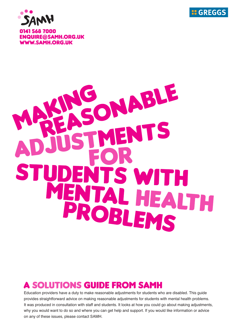



## ABLE  $\bullet$ 'S WI' ME NI AL HEALTH PROBLEMS

#### **A SOLUTIONS GUIDE FROM SAMH**

Education providers have a duty to make reasonable adjustments for students who are disabled. This guide provides straightforward advice on making reasonable adjustments for students with mental health problems. It was produced in consultation with staff and students. It looks at how you could go about making adjustments, why you would want to do so and where you can get help and support. If you would like information or advice on any of these issues, please contact SAMH.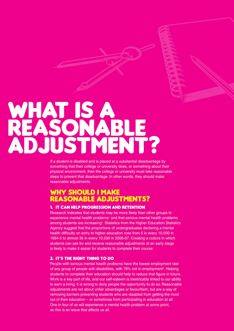## WHAT IS A ADJUSTM

If a student is disabled and is placed at a substantial disadvantage by something that their college or university does, or something about their physical environment, then the college or university must take reasonable steps to prevent that disadvantage. In other words, they should make reasonable adjustments.

### WHY SHOULD I MAKE<br>REASONABLE ADJUSTMENTS?

#### 1. IT CAN HELP PROGRESSION AND RETENTION

Research indicates that students may be more likely than other groups to experience mental health problems<sup>1</sup> and that serious mental health problems among students are increasing<sup>2</sup>. Statistics from the Higher Education Statistics Agency suggest that the proportions of undergraduates declaring a mental health difficulty on entry to higher education rose from 5 in every 10,000 in 1994-5 to almost 36 in every 10,000 in 2006-07. Creating a culture in which students can ask for and receive reasonable adjustments at an early stage is likely to make it easier for students to complete their course.

#### 2. IT'S THE RIGHT THING TO DO

People with serious mental health problems have the lowest employment rate of any group of people with disabilities, with 79% not in employment<sup>3</sup>. Helping students to complete their education should help to reduce that figure in future. Work is a key part of life, and our self-esteem is inextricably linked to our ability to earn a living. It is wrong to deny people the opportunity to do so. Reasonable adjustments are not about unfair advantages or favouritism, but are a way of removing barriers preventing students who are disabled from getting the most out of their education – or sometimes from participating in education at all. One in four of us will experience a mental health problem at some point, so this is an issue that affects us all.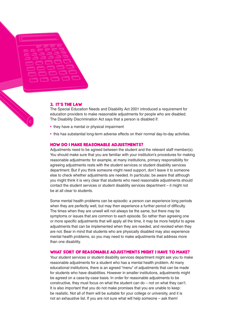

#### 3. IT'S THE LAW

The Special Education Needs and Disability Act 2001 introduced a requirement for education providers to make reasonable adjustments for people who are disabled. The Disability Discrimination Act says that a person is disabled if:

- they have a mental or physical impairment
- this has substantial long-term adverse effects on their normal day-to-day activities.

#### **HOW DO I MAKE REASONABLE ADJUSTMENTS?**

Adjustments need to be agreed between the student and the relevant staff member(s). You should make sure that you are familiar with your institution's procedures for making reasonable adjustments: for example, at many institutions, primary responsibility for agreeing adjustments rests with the student services or student disability services department. But if you think someone might need support, don't leave it to someone else to check whether adjustments are needed. In particular, be aware that although you might think it is very clear that students who need reasonable adjustments should contact the student services or student disability services department – it might not be at all clear to students.

Some mental health problems can be episodic: a person can experience long periods when they are perfectly well, but may then experience a further period of difficulty. The times when they are unwell will not always be the same, but there may be symptoms or issues that are common to each episode. So rather than agreeing one or more specific adjustments that will apply all the time, it may be more helpful to agree adjustments that can be implemented when they are needed, and revoked when they are not. Bear in mind that students who are physically disabled may also experience mental health problems, so you may need to make adjustments that address more than one disability.

#### **WHAT SORT OF REASONABLE ADJUSTMENTS MIGHT I HAVE TO MAKE?**

Your student services or student disability services department might ask you to make reasonable adjustments for a student who has a mental health problem. At many educational institutions, there is an agreed "menu" of adjustments that can be made for students who have disabilities. However in smaller institutions, adjustments might be agreed on a case-by-case basis. In order for reasonable adjustments to be constructive, they must focus on what the student can do – not on what they can't. It is also important that you do not make promises that you are unable to keep: be realistic. Not all of them will be suitable for your college or university, and it is not an exhaustive list. If you are not sure what will help someone – ask them!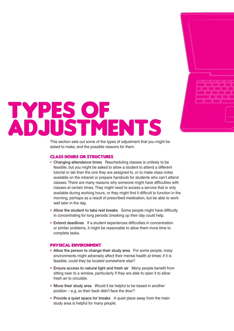

## TYPES OF<br>ADJUSTMENTS

This section sets out some of the types of adjustment that you might be asked to make, and the possible reasons for them.

#### **CLASS HOURS OR STRUCTURES**

- Changing attendance times Rescheduling classes is unlikely to be feasible, but you might be asked to allow a student to attend a different tutorial or lab than the one they are assigned to, or to make class notes available on the intranet or prepare handouts for students who can't attend classes. There are many reasons why someone might have difficulties with classes at certain times. They might need to access a service that is only available during working hours, or they might find it difficult to function in the morning, perhaps as a result of prescribed medication, but be able to work well later in the day.
- Allow the student to take rest breaks Some people might have difficulty in concentrating for long periods: breaking up their day could help.
- Extend deadlines If a student experiences difficulties in concentration or similar problems, it might be reasonable to allow them more time to complete tasks.

#### **PHYSICAL ENVIRONMENT**

- Allow the person to change their study area For some people, noisy environments might adversely affect their mental health at times: if it is feasible, could they be located somewhere else?
- Ensure access to natural light and fresh air Many people benefit from sitting near to a window, particularly if they are able to open it to allow fresh air to circulate.
- Move their study area Would it be helpful to be based in another position – e.g. so their back didn't face the door?
- Provide a quiet space for breaks A quiet place away from the main study area is helpful for many people.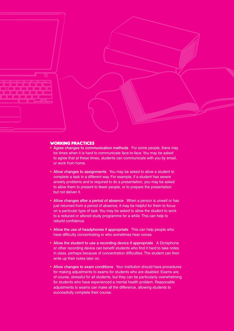

#### **WORKING PRACTICES**

- Agree changes to communication methods For some people, there may be times when it is hard to communicate face-to-face.You may be asked to agree that at these times, students can communicate with you by email, or work from home.
- Allow changes to assignments You may be asked to allow a student to complete a task in a different way. For example, if a student has severe anxiety problems and is required to do a presentation, you may be asked to allow them to present to fewer people, or to prepare the presentation but not deliver it.
- Allow changes after a period of absence When a person is unwell or has just returned from a period of absence, it may be helpful for them to focus on a particular type of task.You may be asked to allow the student to work to a reduced or altered study programme for a while. This can help to rebuild confidence.
- Allow the use of headphones if appropriate This can help people who have difficulty concentrating or who sometimes hear voices.
- Allow the student to use a recording device if appropriate A Dictaphone or other recording device can benefit students who find it hard to take notes in class, perhaps because of concentration difficulties. The student can then write up their notes later on.
- Allow changes to exam conditions Your institution should have procedures for making adjustments to exams for students who are disabled. Exams are, of course, stressful for all students, but they can be particularly overwhelming for students who have experienced a mental health problem. Reasonable adjustments to exams can make all the difference, allowing students to successfully complete their course.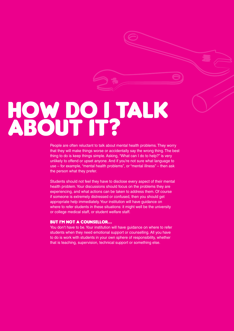# HOW DOI TALK

People are often reluctant to talk about mental health problems. They worry that they will make things worse or accidentally say the wrong thing. The best thing to do is keep things simple. Asking, "What can I do to help?" is very unlikely to offend or upset anyone. And if you're not sure what language to use – for example, "mental health problems", or "mental illness" – then ask the person what they prefer.

Students should not feel they have to disclose every aspect of their mental health problem.Your discussions should focus on the problems they are experiencing, and what actions can be taken to address them. Of course if someone is extremely distressed or confused, then you should get appropriate help immediately.Your institution will have guidance on where to refer students in these situations: it might well be the university or college medical staff, or student welfare staff.

#### **BUT I'M NOT A COUNSELLOR...**

You don't have to be.Your institution will have guidance on where to refer students when they need emotional support or counselling. All you have to do is work with students in your own sphere of responsibility, whether that is teaching, supervision, technical support or something else.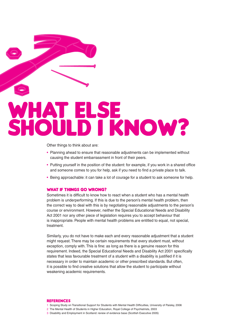## WHAT ELSE SHOULD I KNOW?

Other things to think about are:

- Planning ahead to ensure that reasonable adjustments can be implemented without causing the student embarrassment in front of their peers.
- Putting yourself in the position of the student: for example, if you work in a shared office and someone comes to you for help, ask if you need to find a private place to talk.
- Being approachable: it can take a lot of courage for a student to ask someone for help.

#### **WHAT IF THINGS GO WRONG?**

Sometimes it is difficult to know how to react when a student who has a mental health problem is underperforming. If this is due to the person's mental health problem, then the correct way to deal with this is by negotiating reasonable adjustments to the person's course or environment. However, neither the Special Educational Needs and Disability Act 2001 nor any other piece of legislation requires you to accept behaviour that is inappropriate. People with mental health problems are entitled to equal, not special, treatment.

Similarly, you do not have to make each and every reasonable adjustment that a student might request. There may be certain requirements that every student must, without exception, comply with. This is fine: as long as there is a genuine reason for this requirement. Indeed, the Special Educational Needs and Disability Act 2001 specifically states that less favourable treatment of a student with a disability is justified if it is necessary in order to maintain academic or other prescribed standards. But often, it is possible to find creative solutions that allow the student to participate without weakening academic requirements.

#### **REFERENCES**

- 1 Scoping Study on Transitional Support for Students with Mental Health Difficulties, University of Paisley, 2006
- 2 The Mental Health of Students in Higher Education, Royal College of Psychiatrists, 2003
- 3 Disability and Employment in Scotland: review of evidence base (Scottish Executive 2005)